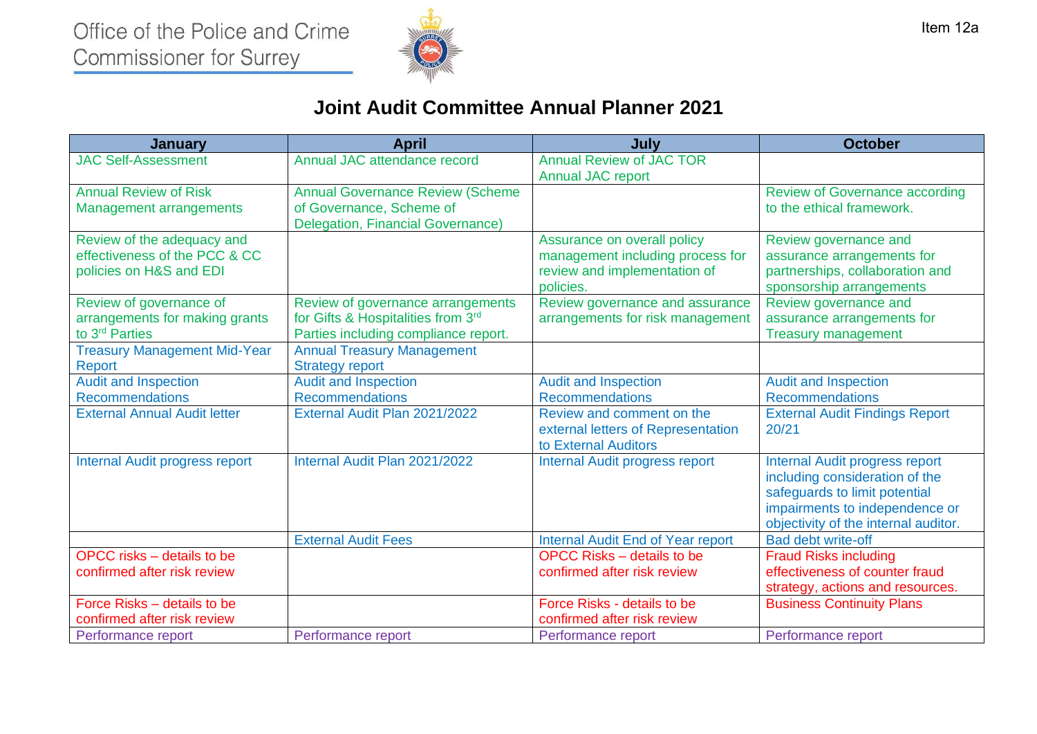

## **Joint Audit Committee Annual Planner 2021**

| <b>January</b>                                                                          | <b>April</b>                                                                                                    | July                                                                                                         | <b>October</b>                                                                                                                                                                     |
|-----------------------------------------------------------------------------------------|-----------------------------------------------------------------------------------------------------------------|--------------------------------------------------------------------------------------------------------------|------------------------------------------------------------------------------------------------------------------------------------------------------------------------------------|
| <b>JAC Self-Assessment</b>                                                              | Annual JAC attendance record                                                                                    | <b>Annual Review of JAC TOR</b><br><b>Annual JAC report</b>                                                  |                                                                                                                                                                                    |
| <b>Annual Review of Risk</b><br><b>Management arrangements</b>                          | <b>Annual Governance Review (Scheme</b><br>of Governance, Scheme of<br><b>Delegation, Financial Governance)</b> |                                                                                                              | <b>Review of Governance according</b><br>to the ethical framework.                                                                                                                 |
| Review of the adequacy and<br>effectiveness of the PCC & CC<br>policies on H&S and EDI  |                                                                                                                 | Assurance on overall policy<br>management including process for<br>review and implementation of<br>policies. | Review governance and<br>assurance arrangements for<br>partnerships, collaboration and<br>sponsorship arrangements                                                                 |
| Review of governance of<br>arrangements for making grants<br>to 3 <sup>rd</sup> Parties | Review of governance arrangements<br>for Gifts & Hospitalities from 3rd<br>Parties including compliance report. | Review governance and assurance<br>arrangements for risk management                                          | Review governance and<br>assurance arrangements for<br><b>Treasury management</b>                                                                                                  |
| <b>Treasury Management Mid-Year</b><br><b>Report</b>                                    | <b>Annual Treasury Management</b><br><b>Strategy report</b>                                                     |                                                                                                              |                                                                                                                                                                                    |
| <b>Audit and Inspection</b><br><b>Recommendations</b>                                   | <b>Audit and Inspection</b><br><b>Recommendations</b>                                                           | <b>Audit and Inspection</b><br><b>Recommendations</b>                                                        | <b>Audit and Inspection</b><br><b>Recommendations</b>                                                                                                                              |
| <b>External Annual Audit letter</b>                                                     | External Audit Plan 2021/2022                                                                                   | Review and comment on the<br>external letters of Representation<br>to External Auditors                      | <b>External Audit Findings Report</b><br>20/21                                                                                                                                     |
| <b>Internal Audit progress report</b>                                                   | Internal Audit Plan 2021/2022                                                                                   | Internal Audit progress report                                                                               | <b>Internal Audit progress report</b><br>including consideration of the<br>safeguards to limit potential<br>impairments to independence or<br>objectivity of the internal auditor. |
|                                                                                         | <b>External Audit Fees</b>                                                                                      | Internal Audit End of Year report                                                                            | Bad debt write-off                                                                                                                                                                 |
| OPCC risks – details to be<br>confirmed after risk review                               |                                                                                                                 | <b>OPCC Risks - details to be</b><br>confirmed after risk review                                             | <b>Fraud Risks including</b><br>effectiveness of counter fraud<br>strategy, actions and resources.                                                                                 |
| Force Risks – details to be<br>confirmed after risk review                              |                                                                                                                 | Force Risks - details to be<br>confirmed after risk review                                                   | <b>Business Continuity Plans</b>                                                                                                                                                   |
| Performance report                                                                      | Performance report                                                                                              | Performance report                                                                                           | Performance report                                                                                                                                                                 |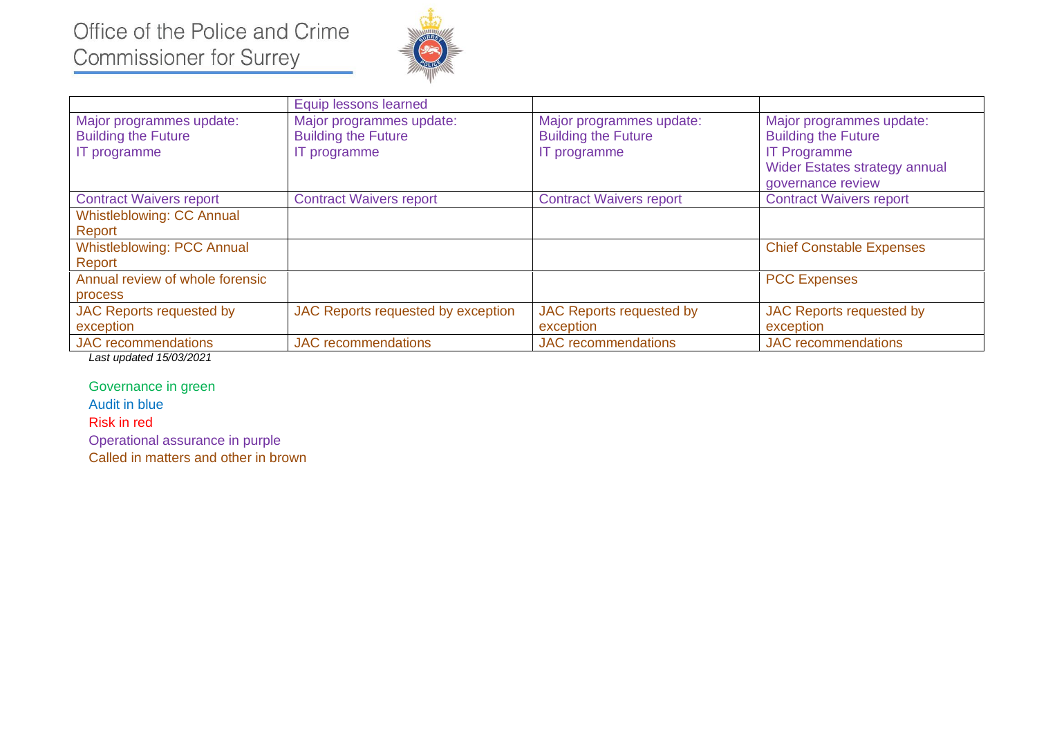# Office of the Police and Crime **Commissioner for Surrey**



|                                                                        | Equip lessons learned                                                  |                                                                        |                                                                                                                                            |
|------------------------------------------------------------------------|------------------------------------------------------------------------|------------------------------------------------------------------------|--------------------------------------------------------------------------------------------------------------------------------------------|
| Major programmes update:<br><b>Building the Future</b><br>IT programme | Major programmes update:<br><b>Building the Future</b><br>IT programme | Major programmes update:<br><b>Building the Future</b><br>IT programme | Major programmes update:<br><b>Building the Future</b><br><b>IT Programme</b><br><b>Wider Estates strategy annual</b><br>governance review |
| <b>Contract Waivers report</b>                                         | <b>Contract Waivers report</b>                                         | <b>Contract Waivers report</b>                                         | <b>Contract Waivers report</b>                                                                                                             |
| <b>Whistleblowing: CC Annual</b>                                       |                                                                        |                                                                        |                                                                                                                                            |
| Report                                                                 |                                                                        |                                                                        |                                                                                                                                            |
| <b>Whistleblowing: PCC Annual</b>                                      |                                                                        |                                                                        | <b>Chief Constable Expenses</b>                                                                                                            |
| Report                                                                 |                                                                        |                                                                        |                                                                                                                                            |
| Annual review of whole forensic                                        |                                                                        |                                                                        | <b>PCC Expenses</b>                                                                                                                        |
| process                                                                |                                                                        |                                                                        |                                                                                                                                            |
| <b>JAC Reports requested by</b>                                        | JAC Reports requested by exception                                     | JAC Reports requested by                                               | JAC Reports requested by                                                                                                                   |
| exception                                                              |                                                                        | exception                                                              | exception                                                                                                                                  |
| <b>JAC</b> recommendations                                             | <b>JAC</b> recommendations                                             | <b>JAC</b> recommendations                                             | <b>JAC</b> recommendations                                                                                                                 |

*Last updated 15/03/2021* 

Governance in green

Audit in blue

Risk in red

Operational assurance in purple

Called in matters and other in brown